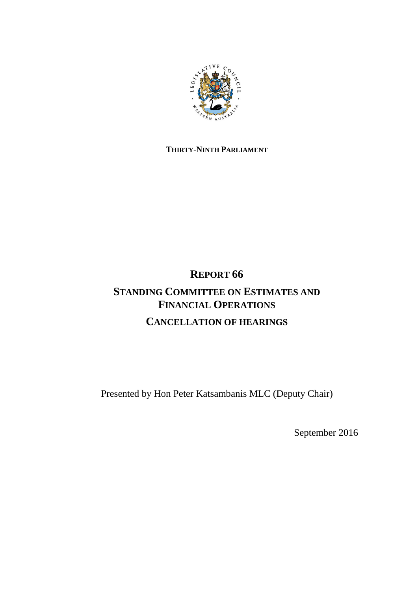

# **THIRTY-NINTH PARLIAMENT**

# **REPORT 66 STANDING COMMITTEE ON ESTIMATES AND FINANCIAL OPERATIONS CANCELLATION OF HEARINGS**

Presented by Hon Peter Katsambanis MLC (Deputy Chair)

September 2016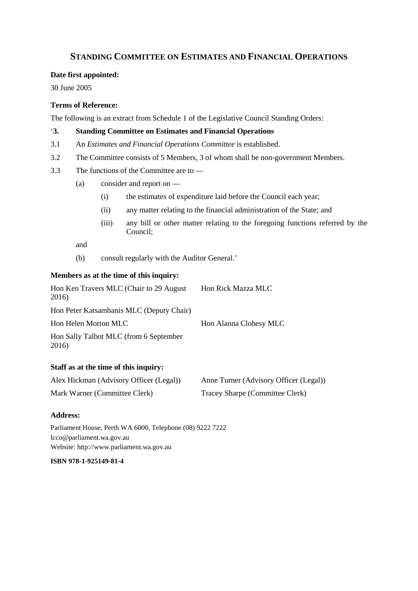# **STANDING COMMITTEE ON ESTIMATES AND FINANCIAL OPERATIONS**

#### **Date first appointed:**

30 June 2005

# **Terms of Reference:**

The following is an extract from Schedule 1 of the Legislative Council Standing Orders:

## '**3. Standing Committee on Estimates and Financial Operations**

- 3.1 An *Estimates and Financial Operations Committee* is established.
- 3.2 The Committee consists of 5 Members, 3 of whom shall be non-government Members.
- 3.3 The functions of the Committee are to
	- (a) consider and report on
		- (i) the estimates of expenditure laid before the Council each year;
		- (ii) any matter relating to the financial administration of the State; and
		- (iii) any bill or other matter relating to the foregoing functions referred by the Council;

and

(b) consult regularly with the Auditor General.'

## **Members as at the time of this inquiry:**

| Hon Ken Travers MLC (Chair to 29 August<br>2016) | Hon Rick Mazza MLC     |
|--------------------------------------------------|------------------------|
| Hon Peter Katsambanis MLC (Deputy Chair)         |                        |
| Hon Helen Morton MLC                             | Hon Alanna Clohesy MLC |
| Hon Sally Talbot MLC (from 6 September<br>2016)  |                        |
|                                                  |                        |

# **Staff as at the time of this inquiry:**

| Alex Hickman (Advisory Officer (Legal)) | Anne Turner (Advisory Officer (Legal)) |
|-----------------------------------------|----------------------------------------|
| Mark Warner (Committee Clerk)           | Tracey Sharpe (Committee Clerk)        |

#### **Address:**

Parliament House, Perth WA 6000, Telephone (08) 9222 7222 lcco@parliament.wa.gov.au Website: http://www.parliament.wa.gov.au

**ISBN 978-1-925149-81-4**